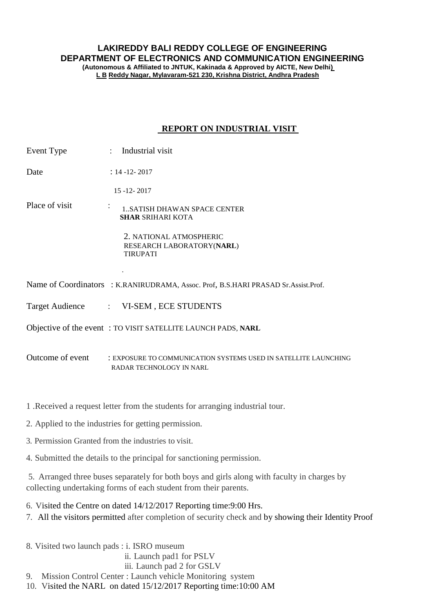## **LAKIREDDY BALI REDDY COLLEGE OF ENGINEERING DEPARTMENT OF ELECTRONICS AND COMMUNICATION ENGINEERING**

**(Autonomous & Affiliated to JNTUK, Kakinada & Approved by AICTE, New Delhi) L B Reddy Nagar, Mylavaram-521 230, Krishna District, Andhra Pradesh**

## **REPORT ON INDUSTRIAL VISIT**

| Event Type     | : Industrial visit                                                                                                  |
|----------------|---------------------------------------------------------------------------------------------------------------------|
| Date           | $: 14 - 12 - 2017$                                                                                                  |
|                | $15 - 12 - 2017$                                                                                                    |
| Place of visit | $\bullet$<br>1SATISH DHAWAN SPACE CENTER<br><b>SHAR SRIHARI KOTA</b>                                                |
|                | 2. NATIONAL ATMOSPHERIC<br>RESEARCH LABORATORY(NARL)<br><b>TIRUPATI</b>                                             |
|                | Name of Coordinators : K.RANIRUDRAMA, Assoc. Prof, B.S.HARI PRASAD Sr.Assist.Prof.                                  |
|                | Target Audience : VI-SEM, ECE STUDENTS                                                                              |
|                | Objective of the event: TO VISIT SATELLITE LAUNCH PADS, NARL                                                        |
|                | Outcome of event : EXPOSURE TO COMMUNICATION SYSTEMS USED IN SATELLITE LAUNCHING<br><b>RADAR TECHNOLOGY IN NARL</b> |

1 .Received a request letter from the students for arranging industrial tour.

- 2. Applied to the industries for getting permission.
- 3. Permission Granted from the industries to visit.
- 4. Submitted the details to the principal for sanctioning permission.

5. Arranged three buses separately for both boys and girls along with faculty in charges by collecting undertaking forms of each student from their parents.

6. Visited the Centre on dated 14/12/2017 Reporting time:9:00 Hrs.

- 7. All the visitors permitted after completion of security check and by showing their Identity Proof
- 8. Visited two launch pads : i. ISRO museum ii. Launch pad1 for PSLV iii. Launch pad 2 for GSLV 9. Mission Control Center : Launch vehicle Monitoring system 10. Visited the NARL on dated 15/12/2017 Reporting time:10:00 AM